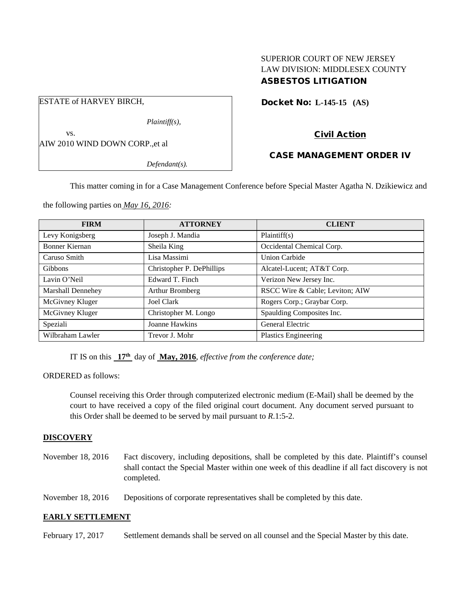# SUPERIOR COURT OF NEW JERSEY LAW DIVISION: MIDDLESEX COUNTY ASBESTOS LITIGATION

Docket No: **L-145-15 (AS)** 

# Civil Action

## CASE MANAGEMENT ORDER IV

*Defendant(s).*

*Plaintiff(s),*

This matter coming in for a Case Management Conference before Special Master Agatha N. Dzikiewicz and

the following parties on *May 16, 2016:*

AIW 2010 WIND DOWN CORP.,et al

ESTATE of HARVEY BIRCH,

vs.

| <b>FIRM</b>       | <b>ATTORNEY</b>           | <b>CLIENT</b>                   |
|-------------------|---------------------------|---------------------------------|
| Levy Konigsberg   | Joseph J. Mandia          | Plaintiff(s)                    |
| Bonner Kiernan    | Sheila King               | Occidental Chemical Corp.       |
| Caruso Smith      | Lisa Massimi              | <b>Union Carbide</b>            |
| <b>Gibbons</b>    | Christopher P. DePhillips | Alcatel-Lucent; AT&T Corp.      |
| Lavin O'Neil      | Edward T. Finch           | Verizon New Jersey Inc.         |
| Marshall Dennehey | Arthur Bromberg           | RSCC Wire & Cable; Leviton; AIW |
| McGivney Kluger   | Joel Clark                | Rogers Corp.; Graybar Corp.     |
| McGivney Kluger   | Christopher M. Longo      | Spaulding Composites Inc.       |
| Speziali          | Joanne Hawkins            | <b>General Electric</b>         |
| Wilbraham Lawler  | Trevor J. Mohr            | <b>Plastics Engineering</b>     |

IT IS on this **17th** day of **May, 2016**, *effective from the conference date;*

ORDERED as follows:

Counsel receiving this Order through computerized electronic medium (E-Mail) shall be deemed by the court to have received a copy of the filed original court document. Any document served pursuant to this Order shall be deemed to be served by mail pursuant to *R*.1:5-2.

### **DISCOVERY**

November 18, 2016 Fact discovery, including depositions, shall be completed by this date. Plaintiff's counsel shall contact the Special Master within one week of this deadline if all fact discovery is not completed.

November 18, 2016 Depositions of corporate representatives shall be completed by this date.

### **EARLY SETTLEMENT**

February 17, 2017 Settlement demands shall be served on all counsel and the Special Master by this date.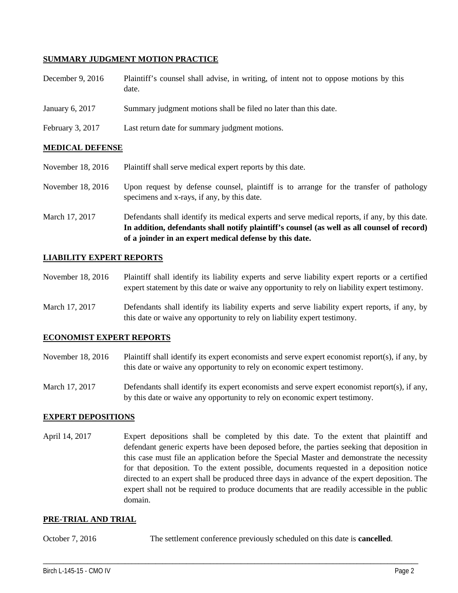## **SUMMARY JUDGMENT MOTION PRACTICE**

| December 9, $2016$ | Plaintiff's counsel shall advise, in writing, of intent not to oppose motions by this |
|--------------------|---------------------------------------------------------------------------------------|
|                    | date.                                                                                 |

- January 6, 2017 Summary judgment motions shall be filed no later than this date.
- February 3, 2017 Last return date for summary judgment motions.

### **MEDICAL DEFENSE**

- November 18, 2016 Plaintiff shall serve medical expert reports by this date.
- November 18, 2016 Upon request by defense counsel, plaintiff is to arrange for the transfer of pathology specimens and x-rays, if any, by this date.
- March 17, 2017 Defendants shall identify its medical experts and serve medical reports, if any, by this date. **In addition, defendants shall notify plaintiff's counsel (as well as all counsel of record) of a joinder in an expert medical defense by this date.**

### **LIABILITY EXPERT REPORTS**

November 18, 2016 Plaintiff shall identify its liability experts and serve liability expert reports or a certified expert statement by this date or waive any opportunity to rely on liability expert testimony.

March 17, 2017 Defendants shall identify its liability experts and serve liability expert reports, if any, by this date or waive any opportunity to rely on liability expert testimony.

## **ECONOMIST EXPERT REPORTS**

- November 18, 2016 Plaintiff shall identify its expert economists and serve expert economist report(s), if any, by this date or waive any opportunity to rely on economic expert testimony.
- March 17, 2017 Defendants shall identify its expert economists and serve expert economist report(s), if any, by this date or waive any opportunity to rely on economic expert testimony.

#### **EXPERT DEPOSITIONS**

April 14, 2017 Expert depositions shall be completed by this date. To the extent that plaintiff and defendant generic experts have been deposed before, the parties seeking that deposition in this case must file an application before the Special Master and demonstrate the necessity for that deposition. To the extent possible, documents requested in a deposition notice directed to an expert shall be produced three days in advance of the expert deposition. The expert shall not be required to produce documents that are readily accessible in the public domain.

#### **PRE-TRIAL AND TRIAL**

October 7, 2016 The settlement conference previously scheduled on this date is **cancelled**.

\_\_\_\_\_\_\_\_\_\_\_\_\_\_\_\_\_\_\_\_\_\_\_\_\_\_\_\_\_\_\_\_\_\_\_\_\_\_\_\_\_\_\_\_\_\_\_\_\_\_\_\_\_\_\_\_\_\_\_\_\_\_\_\_\_\_\_\_\_\_\_\_\_\_\_\_\_\_\_\_\_\_\_\_\_\_\_\_\_\_\_\_\_\_\_\_\_\_\_\_\_\_\_\_\_\_\_\_\_\_